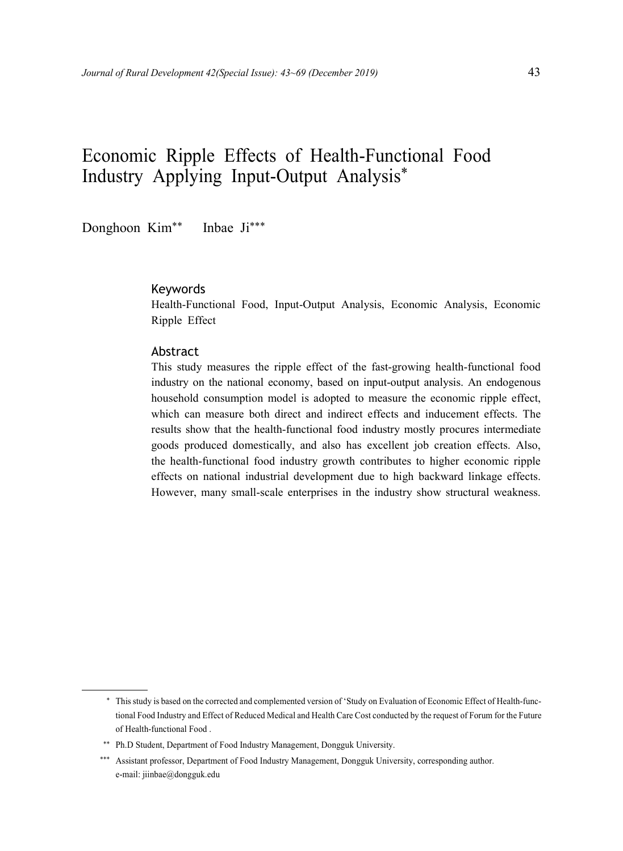### Economic Ripple Effects of Health-Functional Food Industry Applying Input-Output Analysis\*

Donghoon Kim\*\* Inbae Ji\*\*\*

#### Keywords

Health-Functional Food, Input-Output Analysis, Economic Analysis, Economic Ripple Effect

#### Abstract

This study measures the ripple effect of the fast-growing health-functional food industry on the national economy, based on input-output analysis. An endogenous household consumption model is adopted to measure the economic ripple effect, which can measure both direct and indirect effects and inducement effects. The results show that the health-functional food industry mostly procures intermediate goods produced domestically, and also has excellent job creation effects. Also, the health-functional food industry growth contributes to higher economic ripple effects on national industrial development due to high backward linkage effects. However, many small-scale enterprises in the industry show structural weakness.

<sup>\*</sup> This study is based on the corrected and complemented version of 'Study on Evaluation of Economic Effect of Health-functional Food Industry and Effect of Reduced Medical and Health Care Cost conducted by the request of Forum for the Future of Health-functional Food .

<sup>\*\*</sup> Ph.D Student, Department of Food Industry Management, Dongguk University.

<sup>\*\*\*</sup> Assistant professor, Department of Food Industry Management, Dongguk University, corresponding author. e-mail: jiinbae@dongguk.edu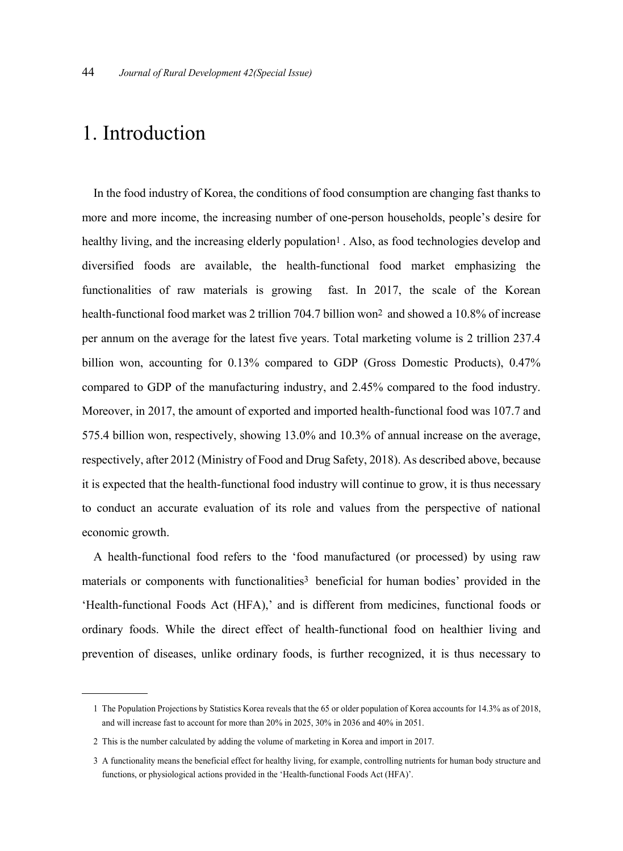# 1. Introduction

In the food industry of Korea, the conditions of food consumption are changing fast thanks to more and more income, the increasing number of one-person households, people's desire for healthy living, and the increasing elderly population<sup>1</sup>. Also, as food technologies develop and diversified foods are available, the health-functional food market emphasizing the functionalities of raw materials is growing fast. In 2017, the scale of the Korean health-functional food market was 2 trillion 704.7 billion won<sup>2</sup> and showed a 10.8% of increase per annum on the average for the latest five years. Total marketing volume is 2 trillion 237.4 billion won, accounting for 0.13% compared to GDP (Gross Domestic Products), 0.47% compared to GDP of the manufacturing industry, and 2.45% compared to the food industry. Moreover, in 2017, the amount of exported and imported health-functional food was 107.7 and 575.4 billion won, respectively, showing 13.0% and 10.3% of annual increase on the average, respectively, after 2012 (Ministry of Food and Drug Safety, 2018). As described above, because it is expected that the health-functional food industry will continue to grow, it is thus necessary to conduct an accurate evaluation of its role and values from the perspective of national economic growth.

A health-functional food refers to the 'food manufactured (or processed) by using raw materials or components with functionalities 3 beneficial for human bodies' provided in the 'Health-functional Foods Act (HFA),' and is different from medicines, functional foods or ordinary foods. While the direct effect of health-functional food on healthier living and prevention of diseases, unlike ordinary foods, is further recognized, it is thus necessary to

<sup>1</sup> The Population Projections by Statistics Korea reveals that the 65 or older population of Korea accounts for 14.3% as of 2018, and will increase fast to account for more than 20% in 2025, 30% in 2036 and 40% in 2051.

<sup>2</sup> This is the number calculated by adding the volume of marketing in Korea and import in 2017.

<sup>3</sup> A functionality means the beneficial effect for healthy living, for example, controlling nutrients for human body structure and functions, or physiological actions provided in the 'Health-functional Foods Act (HFA)'.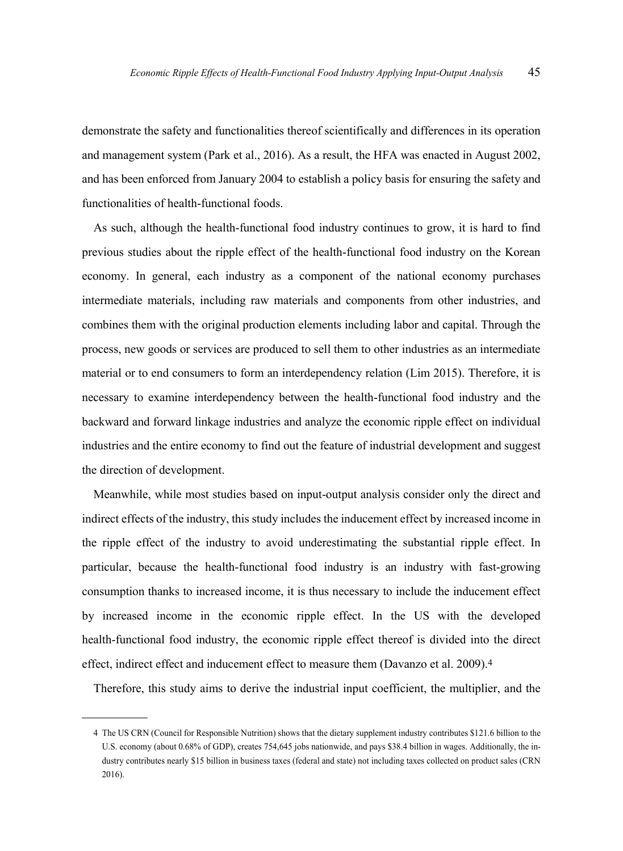demonstrate the safety and functionalities thereof scientifically and differences in its operation and management system (Park et al., 2016). As a result, the HFA was enacted in August 2002, and has been enforced from January 2004 to establish a policy basis for ensuring the safety and functionalities of health-functional foods.

As such, although the health-functional food industry continues to grow, it is hard to find previous studies about the ripple effect of the health-functional food industry on the Korean economy. In general, each industry as a component of the national economy purchases intermediate materials, including raw materials and components from other industries, and combines them with the original production elements including labor and capital. Through the process, new goods or services are produced to sell them to other industries as an intermediate material or to end consumers to form an interdependency relation (Lim 2015). Therefore, it is necessary to examine interdependency between the health-functional food industry and the backward and forward linkage industries and analyze the economic ripple effect on individual industries and the entire economy to find out the feature of industrial development and suggest the direction of development.

Meanwhile, while most studies based on input-output analysis consider only the direct and indirect effects of the industry, this study includes the inducement effect by increased income in the ripple effect of the industry to avoid underestimating the substantial ripple effect. In particular, because the health-functional food industry is an industry with fast-growing consumption thanks to increased income, it is thus necessary to include the inducement effect by increased income in the economic ripple effect. In the US with the developed health-functional food industry, the economic ripple effect thereof is divided into the direct effect, indirect effect and inducement effect to measure them (Davanzo et al. 2009). 4

Therefore, this study aims to derive the industrial input coefficient, the multiplier, and the

<sup>4</sup> The US CRN (Council for Responsible Nutrition) shows that the dietary supplement industry contributes \$121.6 billion to the U.S. economy (about 0.68% of GDP), creates 754,645 jobs nationwide, and pays \$38.4 billion in wages. Additionally, the industry contributes nearly \$15 billion in business taxes (federal and state) not including taxes collected on product sales (CRN 2016).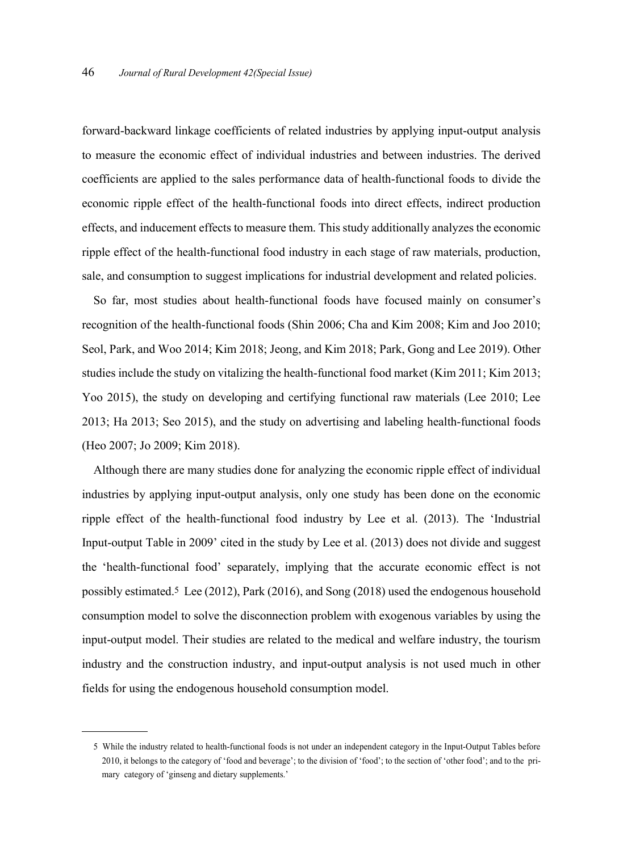forward-backward linkage coefficients of related industries by applying input-output analysis to measure the economic effect of individual industries and between industries. The derived coefficients are applied to the sales performance data of health-functional foods to divide the economic ripple effect of the health-functional foods into direct effects, indirect production effects, and inducement effects to measure them. This study additionally analyzes the economic ripple effect of the health-functional food industry in each stage of raw materials, production, sale, and consumption to suggest implications for industrial development and related policies.

So far, most studies about health-functional foods have focused mainly on consumer's recognition of the health-functional foods (Shin 2006; Cha and Kim 2008; Kim and Joo 2010; Seol, Park, and Woo 2014; Kim 2018; Jeong, and Kim 2018; Park, Gong and Lee 2019). Other studies include the study on vitalizing the health-functional food market (Kim 2011; Kim 2013; Yoo 2015), the study on developing and certifying functional raw materials (Lee 2010; Lee 2013; Ha 2013; Seo 2015), and the study on advertising and labeling health-functional foods (Heo 2007; Jo 2009; Kim 2018).

Although there are many studies done for analyzing the economic ripple effect of individual industries by applying input-output analysis, only one study has been done on the economic ripple effect of the health-functional food industry by Lee et al. (2013). The 'Industrial Input-output Table in 2009' cited in the study by Lee et al. (2013) does not divide and suggest the 'health-functional food' separately, implying that the accurate economic effect is not possibly estimated. 5 Lee (2012), Park (2016), and Song (2018) used the endogenous household consumption model to solve the disconnection problem with exogenous variables by using the input-output model. Their studies are related to the medical and welfare industry, the tourism industry and the construction industry, and input-output analysis is not used much in other fields for using the endogenous household consumption model.

<sup>5</sup> While the industry related to health-functional foods is not under an independent category in the Input-Output Tables before 2010, it belongs to the category of 'food and beverage'; to the division of 'food'; to the section of 'other food'; and to the primary category of 'ginseng and dietary supplements.'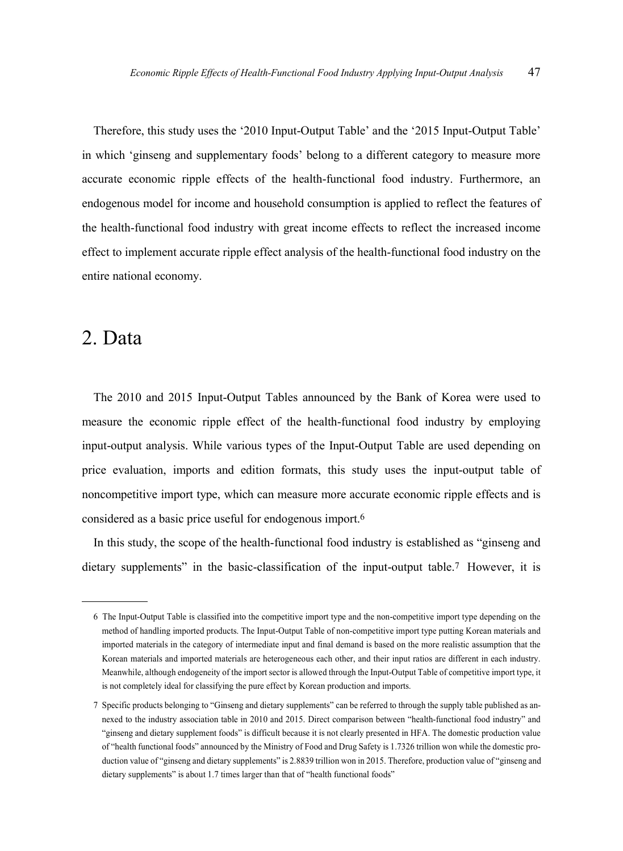Therefore, this study uses the '2010 Input-Output Table' and the '2015 Input-Output Table' in which 'ginseng and supplementary foods' belong to a different category to measure more accurate economic ripple effects of the health-functional food industry. Furthermore, an endogenous model for income and household consumption is applied to reflect the features of the health-functional food industry with great income effects to reflect the increased income effect to implement accurate ripple effect analysis of the health-functional food industry on the entire national economy.

### 2. Data

The 2010 and 2015 Input-Output Tables announced by the Bank of Korea were used to measure the economic ripple effect of the health-functional food industry by employing input-output analysis. While various types of the Input-Output Table are used depending on price evaluation, imports and edition formats, this study uses the input-output table of noncompetitive import type, which can measure more accurate economic ripple effects and is considered as a basic price useful for endogenous import. 6

In this study, the scope of the health-functional food industry is established as "ginseng and dietary supplements" in the basic-classification of the input-output table. 7 However, it is

<sup>6</sup> The Input-Output Table is classified into the competitive import type and the non-competitive import type depending on the method of handling imported products. The Input-Output Table of non-competitive import type putting Korean materials and imported materials in the category of intermediate input and final demand is based on the more realistic assumption that the Korean materials and imported materials are heterogeneous each other, and their input ratios are different in each industry. Meanwhile, although endogeneity of the import sector is allowed through the Input-Output Table of competitive import type, it is not completely ideal for classifying the pure effect by Korean production and imports.

<sup>7</sup> Specific products belonging to "Ginseng and dietary supplements" can be referred to through the supply table published as annexed to the industry association table in 2010 and 2015. Direct comparison between "health-functional food industry" and "ginseng and dietary supplement foods" is difficult because it is not clearly presented in HFA. The domestic production value of "health functional foods" announced by the Ministry of Food and Drug Safety is 1.7326 trillion won while the domestic production value of "ginseng and dietary supplements" is 2.8839 trillion won in 2015. Therefore, production value of "ginseng and dietary supplements" is about 1.7 times larger than that of "health functional foods"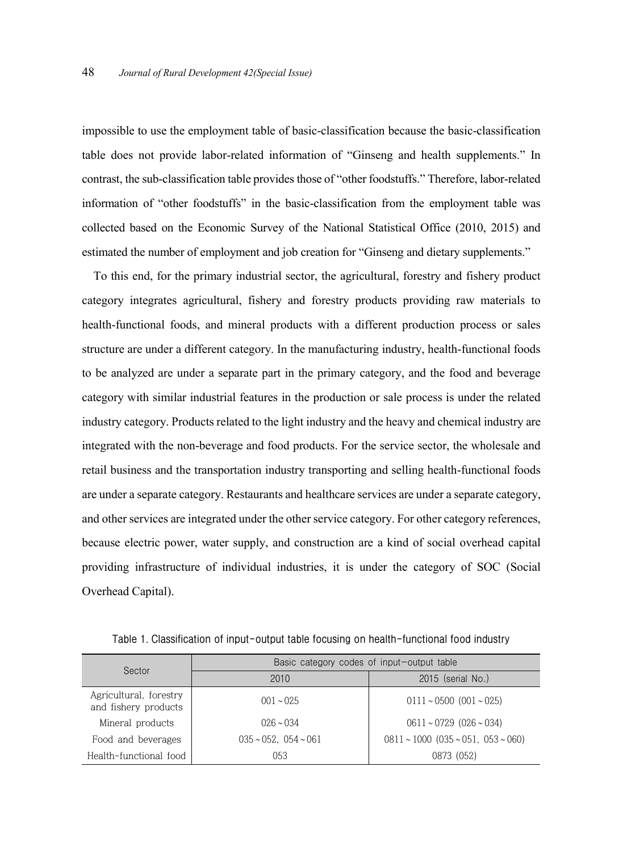impossible to use the employment table of basic-classification because the basic-classification table does not provide labor-related information of "Ginseng and health supplements." In contrast, the sub-classification table provides those of "other foodstuffs." Therefore, labor-related information of "other foodstuffs" in the basic-classification from the employment table was collected based on the Economic Survey of the National Statistical Office (2010, 2015) and estimated the number of employment and job creation for "Ginseng and dietary supplements."

To this end, for the primary industrial sector, the agricultural, forestry and fishery product category integrates agricultural, fishery and forestry products providing raw materials to health-functional foods, and mineral products with a different production process or sales structure are under a different category. In the manufacturing industry, health-functional foods to be analyzed are under a separate part in the primary category, and the food and beverage category with similar industrial features in the production or sale process is under the related industry category. Products related to the light industry and the heavy and chemical industry are integrated with the non-beverage and food products. For the service sector, the wholesale and retail business and the transportation industry transporting and selling health-functional foods are under a separate category. Restaurants and healthcare services are under a separate category, and other services are integrated under the other service category. For other category references, because electric power, water supply, and construction are a kind of social overhead capital providing infrastructure of individual industries, it is under the category of SOC (Social Overhead Capital).

| Sector                                         | Basic category codes of input-output table |                                         |  |  |  |  |  |
|------------------------------------------------|--------------------------------------------|-----------------------------------------|--|--|--|--|--|
|                                                | 2010                                       | 2015 (serial No.)                       |  |  |  |  |  |
| Agricultural, forestry<br>and fishery products | $001 \sim 025$                             | $0111 \sim 0500$ (001 ~ 025)            |  |  |  |  |  |
| Mineral products                               | $026 \sim 034$                             | $0611 \sim 0729$ $(026 \sim 034)$       |  |  |  |  |  |
| Food and beverages                             | $035 \sim 052$ , $054 \sim 061$            | $0811 \sim 1000$ (035 ~ 051, 053 ~ 060) |  |  |  |  |  |
| Health-functional food                         | 053                                        | 0873 (052)                              |  |  |  |  |  |

**Table 1. Classification of input-output table focusing on health-functional food industry**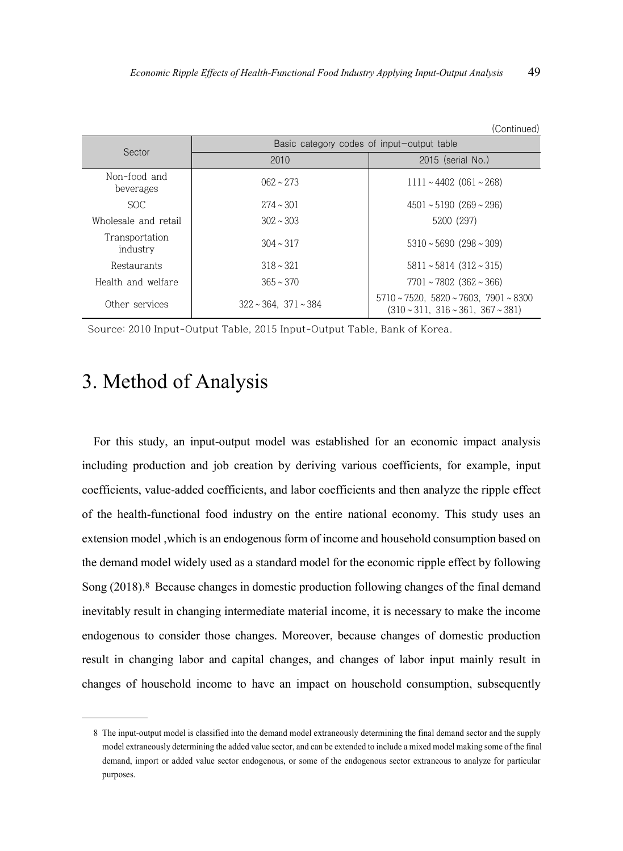|                            |                                            | (Continued)                                                                                                  |  |  |  |  |  |
|----------------------------|--------------------------------------------|--------------------------------------------------------------------------------------------------------------|--|--|--|--|--|
| Sector                     | Basic category codes of input-output table |                                                                                                              |  |  |  |  |  |
|                            | 2010                                       | $2015$ (serial No.)                                                                                          |  |  |  |  |  |
| Non-food and<br>beverages  | $062 \sim 273$                             | $1111 \sim 4402$ (061 ~ 268)                                                                                 |  |  |  |  |  |
| <b>SOC</b>                 | $2.74 \sim 301$                            | $4501 \approx 5190$ (269 $\approx 296$ )                                                                     |  |  |  |  |  |
| Wholesale and retail       | $302 \sim 303$                             | 5200 (297)                                                                                                   |  |  |  |  |  |
| Transportation<br>industry | $304 \sim 317$                             | $5310 \sim 5690$ (298 ~ 309)                                                                                 |  |  |  |  |  |
| Restaurants                | $318 \sim 321$                             | $5811 \sim 5814$ (312 ~ 315)                                                                                 |  |  |  |  |  |
| Health and welfare         | $365 \sim 370$                             | $7701 \sim 7802$ (362 ~ 366)                                                                                 |  |  |  |  |  |
| Other services             | $322 \sim 364$ , $371 \sim 384$            | $5710 \sim 7520$ , $5820 \sim 7603$ , $7901 \sim 8300$<br>$(310 \times 311, 316 \times 361, 367 \times 381)$ |  |  |  |  |  |

Source: 2010 Input-Output Table, 2015 Input-Output Table, Bank of Korea.

# 3. Method of Analysis

For this study, an input-output model was established for an economic impact analysis including production and job creation by deriving various coefficients, for example, input coefficients, value-added coefficients, and labor coefficients and then analyze the ripple effect of the health-functional food industry on the entire national economy. This study uses an extension model ,which is an endogenous form of income and household consumption based on the demand model widely used as a standard model for the economic ripple effect by following Song (2018). 8 Because changes in domestic production following changes of the final demand inevitably result in changing intermediate material income, it is necessary to make the income endogenous to consider those changes. Moreover, because changes of domestic production result in changing labor and capital changes, and changes of labor input mainly result in changes of household income to have an impact on household consumption, subsequently

<sup>8</sup> The input-output model is classified into the demand model extraneously determining the final demand sector and the supply model extraneously determining the added value sector, and can be extended to include a mixed model making some of the final demand, import or added value sector endogenous, or some of the endogenous sector extraneous to analyze for particular purposes.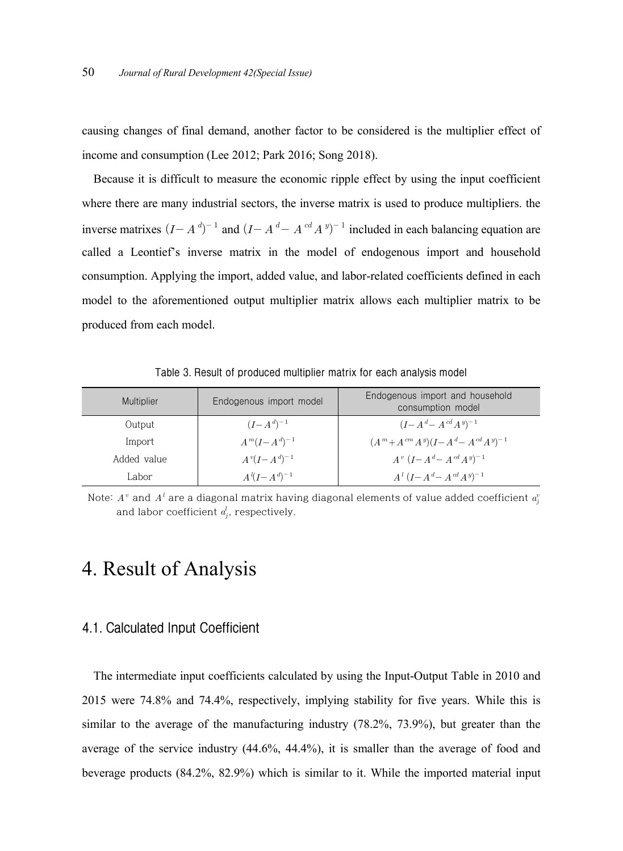causing changes of final demand, another factor to be considered is the multiplier effect of income and consumption (Lee 2012; Park 2016; Song 2018).

Because it is difficult to measure the economic ripple effect by using the input coefficient where there are many industrial sectors, the inverse matrix is used to produce multipliers. the inverse matrixes  $(I - A^d)^{-1}$  and  $(I - A^d - A^{cd} A^{y})^{-1}$  included in each balancing equation are called a Leontief's inverse matrix in the model of endogenous import and household consumption. Applying the import, added value, and labor-related coefficients defined in each model to the aforementioned output multiplier matrix allows each multiplier matrix to be produced from each model.

| Multiplier  | Endogenous import model | Endogenous import and household<br>consumption model     |
|-------------|-------------------------|----------------------------------------------------------|
| Output      | $(I - A^d)^{-1}$        | $(I - A^d - A^{cd} A^{y})^{-1}$                          |
| Import      | $A^{m}(I-A^{d})^{-1}$   | $(A^{m} + A^{cm} A^{y}) (I - A^{d} - A^{cd} A^{y})^{-1}$ |
| Added value | $A^{v}(I-A^{d})^{-1}$   | $A^v (I - A^d - A^{cd} A^{y})^{-1}$                      |
| abor)       | $A^{l}(I - A^{d})^{-1}$ | $A^{l} (I - A^{d} - A^{cd} A^{y})^{-1}$                  |

**Table 3. Result of produced multiplier matrix for each analysis model**

Note:  $A^v$  and  $A^l$  are a diagonal matrix having diagonal elements of value added coefficient  $a_j^\imath$ and labor coefficient  $a_j^l$ , respectively.

## 4. Result of Analysis

#### **4.1. Calculated Input Coefficient**

The intermediate input coefficients calculated by using the Input-Output Table in 2010 and 2015 were 74.8% and 74.4%, respectively, implying stability for five years. While this is similar to the average of the manufacturing industry (78.2%, 73.9%), but greater than the average of the service industry (44.6%, 44.4%), it is smaller than the average of food and beverage products (84.2%, 82.9%) which is similar to it. While the imported material input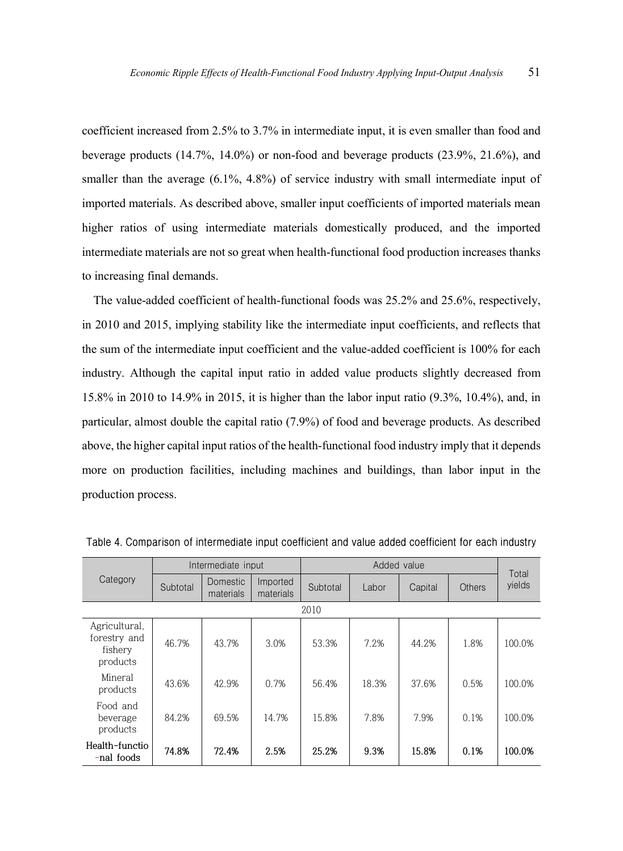coefficient increased from 2.5% to 3.7% in intermediate input, it is even smaller than food and beverage products (14.7%, 14.0%) or non-food and beverage products (23.9%, 21.6%), and smaller than the average  $(6.1\%, 4.8\%)$  of service industry with small intermediate input of imported materials. As described above, smaller input coefficients of imported materials mean higher ratios of using intermediate materials domestically produced, and the imported intermediate materials are not so great when health-functional food production increases thanks to increasing final demands.

The value-added coefficient of health-functional foods was 25.2% and 25.6%, respectively, in 2010 and 2015, implying stability like the intermediate input coefficients, and reflects that the sum of the intermediate input coefficient and the value-added coefficient is 100% for each industry. Although the capital input ratio in added value products slightly decreased from 15.8% in 2010 to 14.9% in 2015, it is higher than the labor input ratio (9.3%, 10.4%), and, in particular, almost double the capital ratio (7.9%) of food and beverage products. As described above, the higher capital input ratios of the health-functional food industry imply that it depends more on production facilities, including machines and buildings, than labor input in the production process.

| Category                                             |          | Intermediate input    |                       |          |       | Total   |        |        |  |  |  |
|------------------------------------------------------|----------|-----------------------|-----------------------|----------|-------|---------|--------|--------|--|--|--|
|                                                      | Subtotal | Domestic<br>materials | Imported<br>materials | Subtotal | Labor | Capital | Others | yields |  |  |  |
| 2010                                                 |          |                       |                       |          |       |         |        |        |  |  |  |
| Agricultural,<br>forestry and<br>fishery<br>products | 46.7%    | 43.7%                 | 3.0%                  | 53.3%    | 7.2%  | 44.2%   | 1.8%   | 100.0% |  |  |  |
| Mineral<br>products                                  | 43.6%    | 42.9%                 | 0.7%                  | 56.4%    | 18.3% | 37.6%   | 0.5%   | 100.0% |  |  |  |
| Food and<br>beverage<br>products                     | 84.2%    | 69.5%                 | 14.7%                 | 15.8%    | 7.8%  | 7.9%    | 0.1%   | 100.0% |  |  |  |
| Health-functio<br>-nal foods                         | 74.8%    | 72.4%                 | 2.5%                  | 25.2%    | 9.3%  | 15.8%   | 0.1%   | 100.0% |  |  |  |

**Table 4. Comparison of intermediate input coefficient and value added coefficient for each industry**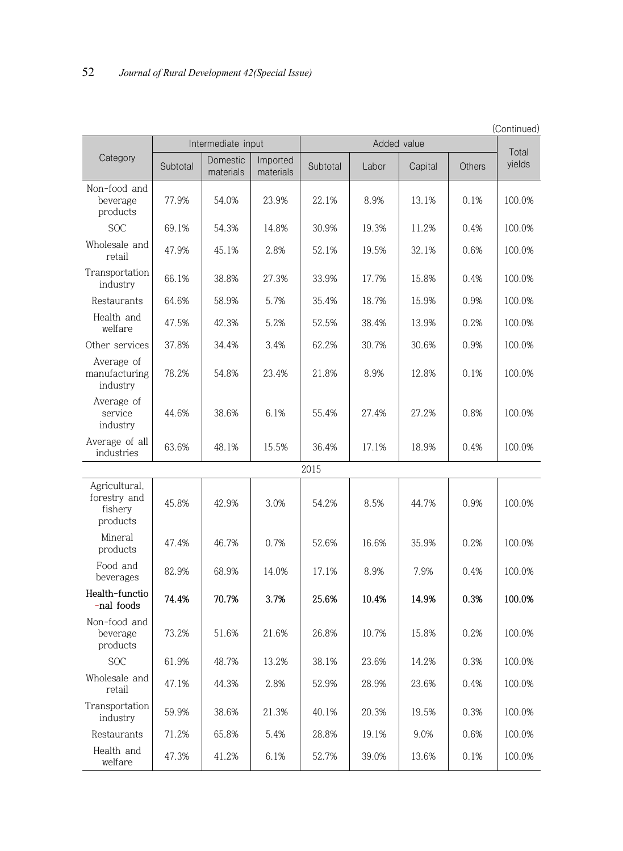|                                                      |          |                       |                       |          |             |         |        | (Continued) |
|------------------------------------------------------|----------|-----------------------|-----------------------|----------|-------------|---------|--------|-------------|
|                                                      |          | Intermediate input    |                       |          | Added value |         |        | Total       |
| Category                                             | Subtotal | Domestic<br>materials | Imported<br>materials | Subtotal | Labor       | Capital | Others | yields      |
| Non-food and<br>beverage<br>products                 | 77.9%    | 54.0%                 | 23.9%                 | 22.1%    | 8.9%        | 13.1%   | 0.1%   | 100.0%      |
| <b>SOC</b>                                           | 69.1%    | 54.3%                 | 14.8%                 | 30.9%    | 19.3%       | 11.2%   | 0.4%   | 100.0%      |
| Wholesale and<br>retail                              | 47.9%    | 45.1%                 | 2.8%                  | 52.1%    | 19.5%       | 32.1%   | 0.6%   | 100.0%      |
| Transportation<br>industry                           | 66.1%    | 38.8%                 | 27.3%                 | 33.9%    | 17.7%       | 15.8%   | 0.4%   | 100.0%      |
| Restaurants                                          | 64.6%    | 58.9%                 | 5.7%                  | 35.4%    | 18.7%       | 15.9%   | 0.9%   | 100.0%      |
| Health and<br>welfare                                | 47.5%    | 42.3%                 | 5.2%                  | 52.5%    | 38.4%       | 13.9%   | 0.2%   | 100.0%      |
| Other services                                       | 37.8%    | 34.4%                 | 3.4%                  | 62.2%    | 30.7%       | 30.6%   | 0.9%   | 100.0%      |
| Average of<br>manufacturing<br>industry              | 78.2%    | 54.8%                 | 23.4%                 | 21.8%    | 8.9%        | 12.8%   | 0.1%   | 100.0%      |
| Average of<br>service<br>industry                    | 44.6%    | 38.6%                 | 6.1%                  | 55.4%    | 27.4%       | 27.2%   | 0.8%   | 100.0%      |
| Average of all<br>industries                         | 63.6%    | 48.1%                 | 15.5%                 | 36.4%    | 17.1%       | 18.9%   | 0.4%   | 100.0%      |
|                                                      |          |                       |                       | 2015     |             |         |        |             |
| Agricultural,<br>forestry and<br>fishery<br>products | 45.8%    | 42.9%                 | 3.0%                  | 54.2%    | 8.5%        | 44.7%   | 0.9%   | 100.0%      |
| Mineral<br>products                                  | 47.4%    | 46.7%                 | 0.7%                  | 52.6%    | 16.6%       | 35.9%   | 0.2%   | 100.0%      |
| Food and<br>beverages                                | 82.9%    | 68.9%                 | 14.0%                 | 17.1%    | 8.9%        | 7.9%    | 0.4%   | 100.0%      |
| Health-functio<br>-nal foods                         | 74.4%    | 70.7%                 | 3.7%                  | 25.6%    | 10.4%       | 14.9%   | 0.3%   | 100.0%      |
| Non-food and<br>beverage<br>products                 | 73.2%    | 51.6%                 | 21.6%                 | 26.8%    | 10.7%       | 15.8%   | 0.2%   | 100.0%      |
| $\operatorname{SOC}$                                 | 61.9%    | 48.7%                 | 13.2%                 | 38.1%    | 23.6%       | 14.2%   | 0.3%   | 100.0%      |
| Wholesale and<br>retail                              | 47.1%    | 44.3%                 | 2.8%                  | 52.9%    | 28.9%       | 23.6%   | 0.4%   | 100.0%      |
| Transportation<br>industry                           | 59.9%    | 38.6%                 | 21.3%                 | 40.1%    | 20.3%       | 19.5%   | 0.3%   | 100.0%      |
| Restaurants                                          | 71.2%    | 65.8%                 | 5.4%                  | 28.8%    | 19.1%       | 9.0%    | 0.6%   | 100.0%      |
| Health and<br>welfare                                | 47.3%    | 41.2%                 | 6.1%                  | 52.7%    | 39.0%       | 13.6%   | 0.1%   | 100.0%      |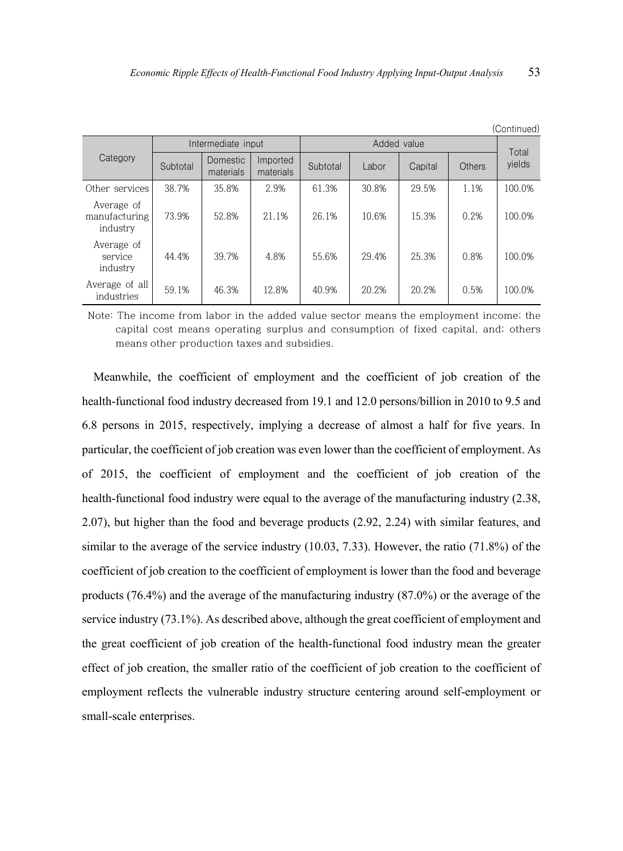| (Continued)                             |          |                              |                       |          |       |         |        |        |  |  |
|-----------------------------------------|----------|------------------------------|-----------------------|----------|-------|---------|--------|--------|--|--|
|                                         |          | Intermediate input           |                       |          |       | Total   |        |        |  |  |
| Category                                | Subtotal | <b>Domestic</b><br>materials | Imported<br>materials | Subtotal | Labor | Capital | Others | yields |  |  |
| Other services                          | 38.7%    | 35.8%                        | 2.9%                  | 61.3%    | 30.8% | 29.5%   | 1.1%   | 100.0% |  |  |
| Average of<br>manufacturing<br>industry | 73.9%    | 52.8%                        | 21.1%                 | 26.1%    | 10.6% | 15.3%   | 0.2%   | 100.0% |  |  |
| Average of<br>service<br>industry       | 44.4%    | 39.7%                        | 4.8%                  | 55.6%    | 29.4% | 25.3%   | 0.8%   | 100.0% |  |  |
| Average of all<br>industries            | 59.1%    | 46.3%                        | 12.8%                 | 40.9%    | 20.2% | 20.2%   | 0.5%   | 100.0% |  |  |

Note: The income from labor in the added value sector means the employment income; the capital cost means operating surplus and consumption of fixed capital, and; others means other production taxes and subsidies.

Meanwhile, the coefficient of employment and the coefficient of job creation of the health-functional food industry decreased from 19.1 and 12.0 persons/billion in 2010 to 9.5 and 6.8 persons in 2015, respectively, implying a decrease of almost a half for five years. In particular, the coefficient of job creation was even lower than the coefficient of employment. As of 2015, the coefficient of employment and the coefficient of job creation of the health-functional food industry were equal to the average of the manufacturing industry (2.38, 2.07), but higher than the food and beverage products (2.92, 2.24) with similar features, and similar to the average of the service industry (10.03, 7.33). However, the ratio (71.8%) of the coefficient of job creation to the coefficient of employment is lower than the food and beverage products (76.4%) and the average of the manufacturing industry (87.0%) or the average of the service industry (73.1%). As described above, although the great coefficient of employment and the great coefficient of job creation of the health-functional food industry mean the greater effect of job creation, the smaller ratio of the coefficient of job creation to the coefficient of employment reflects the vulnerable industry structure centering around self-employment or small-scale enterprises.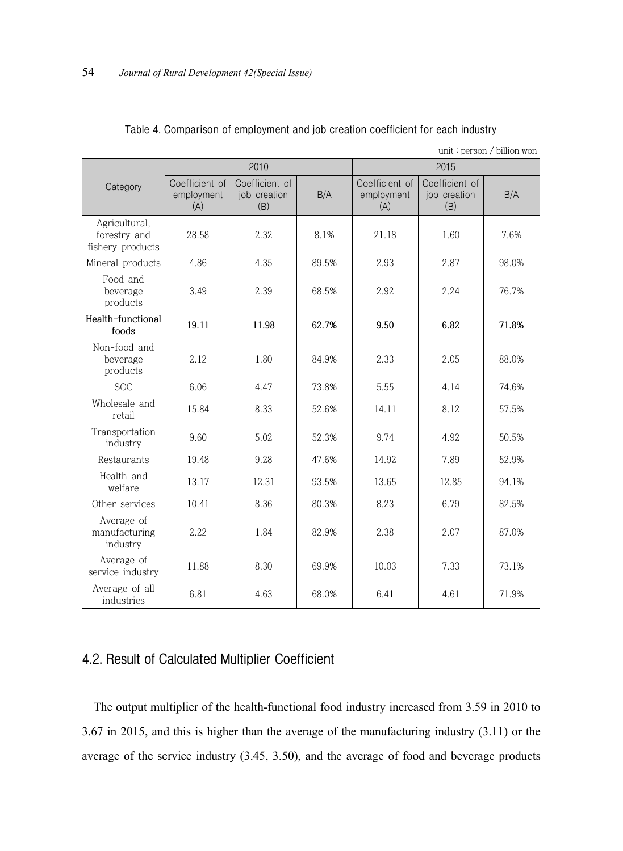| unit: person / billion won                        |                                     |                                       |       |                                     |                                       |       |  |  |  |  |
|---------------------------------------------------|-------------------------------------|---------------------------------------|-------|-------------------------------------|---------------------------------------|-------|--|--|--|--|
|                                                   |                                     | 2010                                  |       |                                     | 2015                                  |       |  |  |  |  |
| Category                                          | Coefficient of<br>employment<br>(A) | Coefficient of<br>job creation<br>(B) | B/A   | Coefficient of<br>employment<br>(A) | Coefficient of<br>job creation<br>(B) | B/A   |  |  |  |  |
| Agricultural,<br>forestry and<br>fishery products | 28.58                               | 2.32.                                 | 8.1%  | 21.18                               | 1.60                                  | 7.6%  |  |  |  |  |
| Mineral products                                  | 4.86                                | 4.35                                  | 89.5% | 2.93                                | 2.87                                  | 98.0% |  |  |  |  |
| Food and<br>beverage<br>products                  | 3.49                                | 2.39                                  | 68.5% | 2.92                                | 2.24                                  | 76.7% |  |  |  |  |
| Health-functional<br>foods                        | 19.11                               | 11.98                                 | 62.7% | 9.50                                | 6.82                                  | 71.8% |  |  |  |  |
| Non-food and<br>beverage<br>products              | 2.12                                | 1.80                                  | 84.9% | 2.33                                | 2.05                                  | 88.0% |  |  |  |  |
| <b>SOC</b>                                        | 6.06                                | 4.47                                  | 73.8% | 5.55                                | 4 1 4                                 | 74.6% |  |  |  |  |
| Wholesale and<br>retail                           | 15.84                               | 8.33                                  | 52.6% | 14.11                               | 8.12                                  | 57.5% |  |  |  |  |
| Transportation<br>industry                        | 9.60                                | 5.02                                  | 52.3% | 9.74                                | 4.92                                  | 50.5% |  |  |  |  |
| Restaurants                                       | 19.48                               | 9.28                                  | 47.6% | 14.92                               | 7.89                                  | 52.9% |  |  |  |  |
| Health and<br>welfare                             | 13.17                               | 12.31                                 | 93.5% | 13.65                               | 12.85                                 | 94.1% |  |  |  |  |
| Other services                                    | 10.41                               | 8.36                                  | 80.3% | 8.23                                | 6.79                                  | 82.5% |  |  |  |  |
| Average of<br>manufacturing<br>industry           | 2.22                                | 1.84                                  | 82.9% | 2.38                                | 2.07                                  | 87.0% |  |  |  |  |
| Average of<br>service industry                    | 11.88                               | 8.30                                  | 69.9% | 10.03                               | 7.33                                  | 73.1% |  |  |  |  |
| Average of all<br>industries                      | 6.81                                | 4.63                                  | 68.0% | 6.41                                | 4.61                                  | 71.9% |  |  |  |  |

#### **Table 4. Comparison of employment and job creation coefficient for each industry**

### **4.2. Result of Calculated Multiplier Coefficient**

The output multiplier of the health-functional food industry increased from 3.59 in 2010 to 3.67 in 2015, and this is higher than the average of the manufacturing industry (3.11) or the average of the service industry (3.45, 3.50), and the average of food and beverage products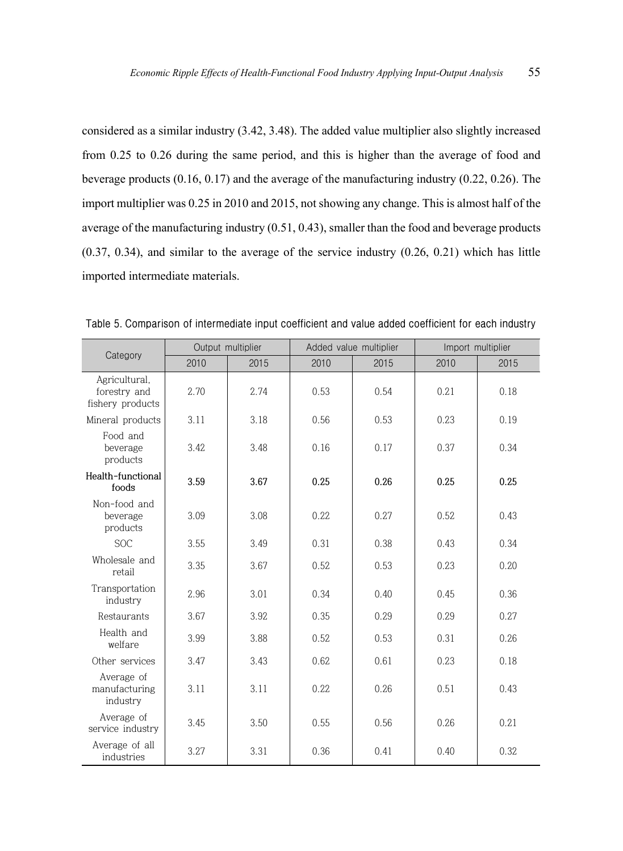considered as a similar industry (3.42, 3.48). The added value multiplier also slightly increased from 0.25 to 0.26 during the same period, and this is higher than the average of food and beverage products (0.16, 0.17) and the average of the manufacturing industry (0.22, 0.26). The import multiplier was 0.25 in 2010 and 2015, not showing any change. This is almost half of the average of the manufacturing industry (0.51, 0.43), smaller than the food and beverage products (0.37, 0.34), and similar to the average of the service industry (0.26, 0.21) which has little imported intermediate materials.

|                                                   |      | Output multiplier | Added value multiplier |      | Import multiplier |      |  |
|---------------------------------------------------|------|-------------------|------------------------|------|-------------------|------|--|
| Category                                          | 2010 | 2015              | 2010                   | 2015 | 2010              | 2015 |  |
| Agricultural,<br>forestry and<br>fishery products | 2.70 | 2.74              | 0.53                   | 0.54 | 0.21              | 0.18 |  |
| Mineral products                                  | 3.11 | 3.18              | 0.56                   | 0.53 | 0.23              | 0.19 |  |
| Food and<br>beverage<br>products                  | 3.42 | 3.48              | 0.16                   | 0.17 | 0.37              | 0.34 |  |
| Health-functional<br>foods                        | 3.59 | 3.67              | 0.25                   | 0.26 | 0.25              | 0.25 |  |
| Non-food and<br>beverage<br>products              | 3.09 | 3.08              | 0.22                   | 0.27 | 0.52              | 0.43 |  |
| <b>SOC</b>                                        | 3.55 |                   | 0.31                   | 0.38 | 0.43              | 0.34 |  |
| Wholesale and<br>retail                           | 3.35 |                   | 0.52                   | 0.53 | 0.23              | 0.20 |  |
| Transportation<br>industry                        | 2.96 | 3.01              | 0.34                   | 0.40 | 0.45              | 0.36 |  |
| Restaurants                                       | 3.67 | 3.92              | 0.35                   | 0.29 | 0.29              | 0.27 |  |
| Health and<br>welfare                             | 3.99 | 3.88              | 0.52                   | 0.53 | 0.31              | 0.26 |  |
| Other services                                    | 3.47 | 3.43              | 0.62.                  | 0.61 | 0.23              | 0.18 |  |
| Average of<br>3.11<br>manufacturing<br>industry   |      | 3.11              | 0.22                   | 0.26 | 0.51              | 0.43 |  |
| Average of<br>service industry                    | 3.45 | 3.50              | 0.55                   | 0.56 | 0.26              | 0.21 |  |
| Average of all<br>industries                      | 3.27 | 3.31              | 0.36                   | 0.41 | 0.40              | 0.32 |  |

**Table 5. Comparison of intermediate input coefficient and value added coefficient for each industry**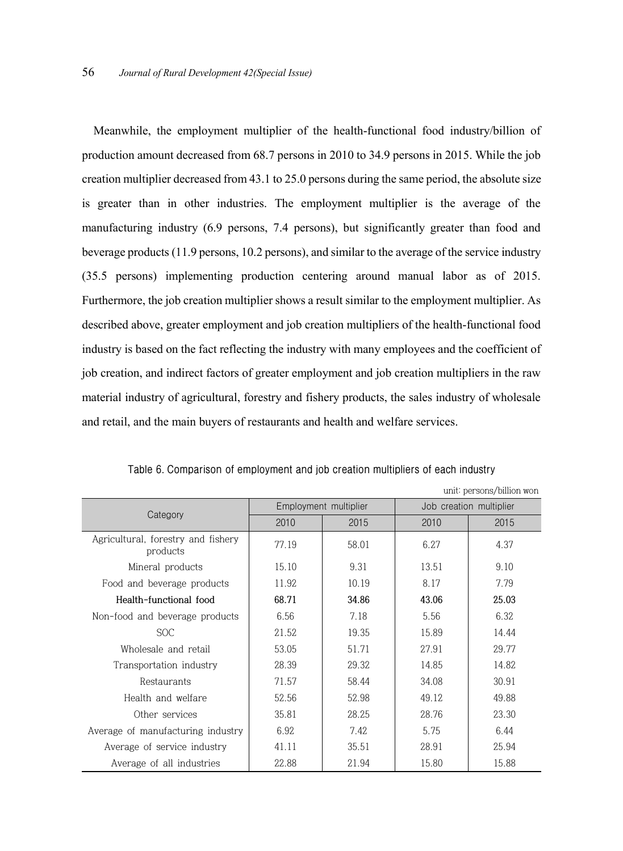Meanwhile, the employment multiplier of the health-functional food industry/billion of production amount decreased from 68.7 persons in 2010 to 34.9 persons in 2015. While the job creation multiplier decreased from 43.1 to 25.0 persons during the same period, the absolute size is greater than in other industries. The employment multiplier is the average of the manufacturing industry (6.9 persons, 7.4 persons), but significantly greater than food and beverage products (11.9 persons, 10.2 persons), and similar to the average of the service industry (35.5 persons) implementing production centering around manual labor as of 2015. Furthermore, the job creation multiplier shows a result similar to the employment multiplier. As described above, greater employment and job creation multipliers of the health-functional food industry is based on the fact reflecting the industry with many employees and the coefficient of job creation, and indirect factors of greater employment and job creation multipliers in the raw material industry of agricultural, forestry and fishery products, the sales industry of wholesale and retail, and the main buyers of restaurants and health and welfare services.

|                                                | UIIII. DELSOIIS/DIIIIOII WOII |                       |       |                         |  |  |  |  |  |
|------------------------------------------------|-------------------------------|-----------------------|-------|-------------------------|--|--|--|--|--|
|                                                |                               | Employment multiplier |       | Job creation multiplier |  |  |  |  |  |
| Category                                       | 2010                          | 2015                  | 2010  | 2015                    |  |  |  |  |  |
| Agricultural, forestry and fishery<br>products | 77.19                         | 58.01                 | 6.27  | 4.37                    |  |  |  |  |  |
| Mineral products                               | 15.10                         | 9.31                  | 13.51 | 9.10                    |  |  |  |  |  |
| Food and beverage products                     | 11.92                         | 10.19                 | 8.17  | 7.79                    |  |  |  |  |  |
| Health-functional food                         | 68.71                         | 34.86                 | 43.06 | 25.03                   |  |  |  |  |  |
| Non-food and beverage products                 | 6.56                          | 7.18                  | 5.56  | 6.32                    |  |  |  |  |  |
| <b>SOC</b>                                     | 21.52                         | 19.35                 | 15.89 | 14.44                   |  |  |  |  |  |
| Wholesale and retail                           | 53.05                         | 51.71                 | 27.91 | 29.77                   |  |  |  |  |  |
| Transportation industry                        | 28.39                         | 29.32                 | 14.85 | 14.82                   |  |  |  |  |  |
| Restaurants                                    | 71.57                         | 58.44                 | 34.08 | 30.91                   |  |  |  |  |  |
| Health and welfare                             | 52.56                         | 52.98                 | 49.12 | 49.88                   |  |  |  |  |  |
| Other services                                 | 35.81                         | 28.25                 | 28.76 | 23.30                   |  |  |  |  |  |
| Average of manufacturing industry              | 6.92                          | 7.42                  | 5.75  | 6.44                    |  |  |  |  |  |
| Average of service industry                    | 41.11                         | 35.51                 | 28.91 | 25.94                   |  |  |  |  |  |
| Average of all industries                      | 22.88                         | 21.94                 | 15.80 | 15.88                   |  |  |  |  |  |

**Table 6. Comparison of employment and job creation multipliers of each industry**

unit: persons won the filter words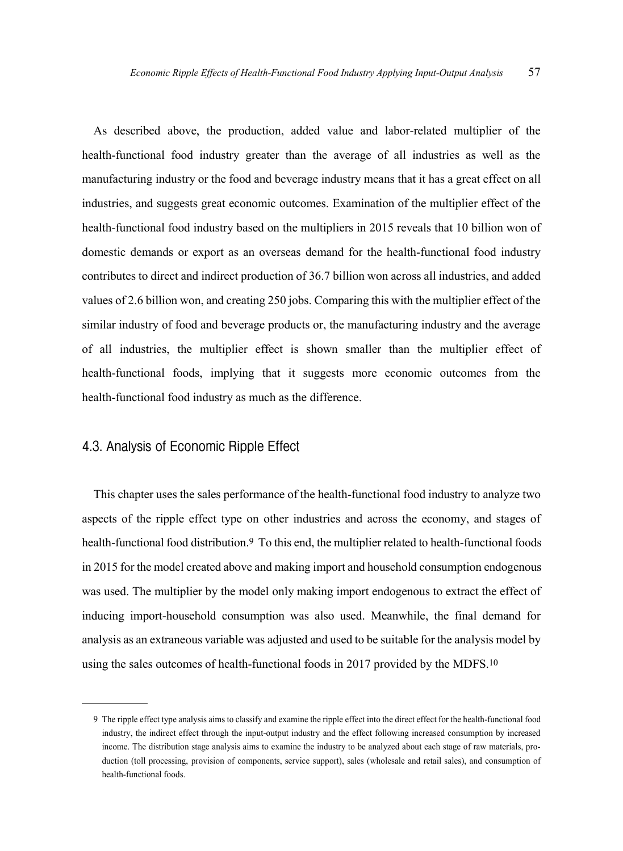As described above, the production, added value and labor-related multiplier of the health-functional food industry greater than the average of all industries as well as the manufacturing industry or the food and beverage industry means that it has a great effect on all industries, and suggests great economic outcomes. Examination of the multiplier effect of the health-functional food industry based on the multipliers in 2015 reveals that 10 billion won of domestic demands or export as an overseas demand for the health-functional food industry contributes to direct and indirect production of 36.7 billion won across all industries, and added values of 2.6 billion won, and creating 250 jobs. Comparing this with the multiplier effect of the similar industry of food and beverage products or, the manufacturing industry and the average of all industries, the multiplier effect is shown smaller than the multiplier effect of health-functional foods, implying that it suggests more economic outcomes from the health-functional food industry as much as the difference.

#### **4.3. Analysis of Economic Ripple Effect**

This chapter uses the sales performance of the health-functional food industry to analyze two aspects of the ripple effect type on other industries and across the economy, and stages of health-functional food distribution. 9 To this end, the multiplier related to health-functional foods in 2015 for the model created above and making import and household consumption endogenous was used. The multiplier by the model only making import endogenous to extract the effect of inducing import-household consumption was also used. Meanwhile, the final demand for analysis as an extraneous variable was adjusted and used to be suitable for the analysis model by using the sales outcomes of health-functional foods in 2017 provided by the MDFS. 10

<sup>9</sup> The ripple effect type analysis aims to classify and examine the ripple effect into the direct effect for the health-functional food industry, the indirect effect through the input-output industry and the effect following increased consumption by increased income. The distribution stage analysis aims to examine the industry to be analyzed about each stage of raw materials, production (toll processing, provision of components, service support), sales (wholesale and retail sales), and consumption of health-functional foods.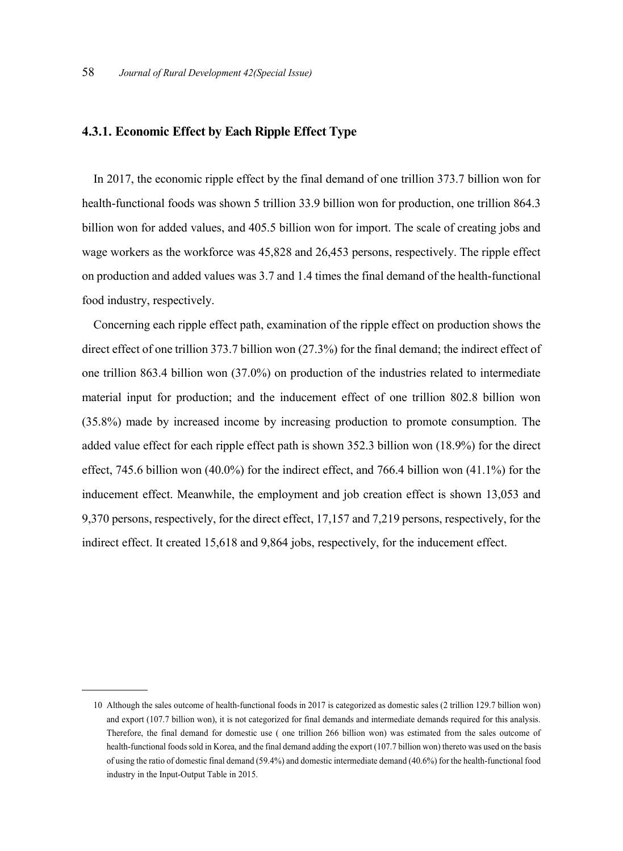#### **4.3.1. Economic Effect by Each Ripple Effect Type**

In 2017, the economic ripple effect by the final demand of one trillion 373.7 billion won for health-functional foods was shown 5 trillion 33.9 billion won for production, one trillion 864.3 billion won for added values, and 405.5 billion won for import. The scale of creating jobs and wage workers as the workforce was 45,828 and 26,453 persons, respectively. The ripple effect on production and added values was 3.7 and 1.4 times the final demand of the health-functional food industry, respectively.

Concerning each ripple effect path, examination of the ripple effect on production shows the direct effect of one trillion 373.7 billion won (27.3%) for the final demand; the indirect effect of one trillion 863.4 billion won (37.0%) on production of the industries related to intermediate material input for production; and the inducement effect of one trillion 802.8 billion won (35.8%) made by increased income by increasing production to promote consumption. The added value effect for each ripple effect path is shown 352.3 billion won (18.9%) for the direct effect, 745.6 billion won (40.0%) for the indirect effect, and 766.4 billion won (41.1%) for the inducement effect. Meanwhile, the employment and job creation effect is shown 13,053 and 9,370 persons, respectively, for the direct effect, 17,157 and 7,219 persons, respectively, for the indirect effect. It created 15,618 and 9,864 jobs, respectively, for the inducement effect.

<sup>10</sup> Although the sales outcome of health-functional foods in 2017 is categorized as domestic sales (2 trillion 129.7 billion won) and export (107.7 billion won), it is not categorized for final demands and intermediate demands required for this analysis. Therefore, the final demand for domestic use ( one trillion 266 billion won) was estimated from the sales outcome of health-functional foodssold in Korea, and the final demand adding the export (107.7 billion won) thereto was used on the basis of using the ratio of domestic final demand (59.4%) and domestic intermediate demand (40.6%) for the health-functional food industry in the Input-Output Table in 2015.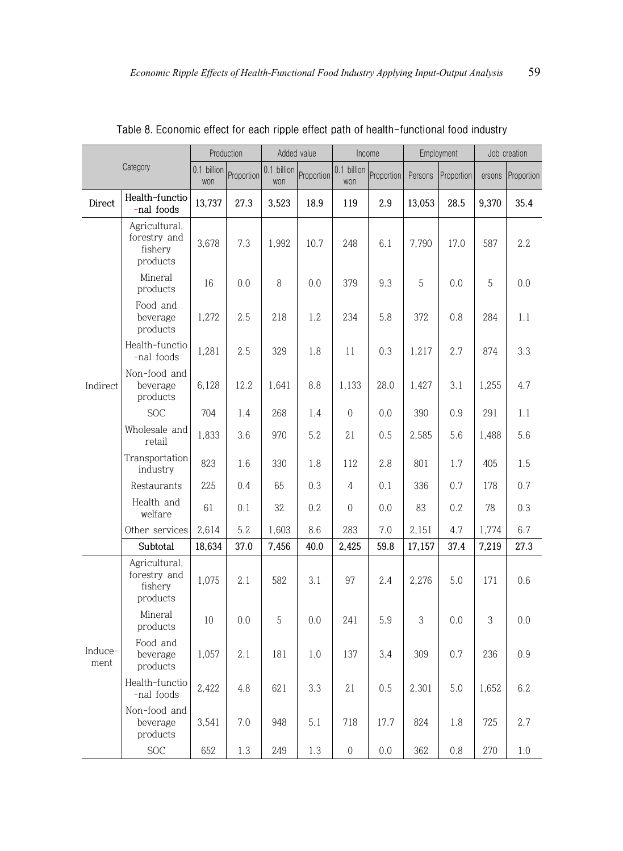|                 |                                                      | Production         |            | Added value        |            | Income             |            | Employment |            | Job creation |            |
|-----------------|------------------------------------------------------|--------------------|------------|--------------------|------------|--------------------|------------|------------|------------|--------------|------------|
|                 | Category                                             | 0.1 billion<br>won | Proportion | 0.1 billion<br>won | Proportion | 0.1 billion<br>won | Proportion | Persons    | Proportion | ersons       | Proportion |
| Direct          | Health-functio<br>-nal foods                         | 13,737             | 27.3       | 3,523              | 18.9       | 119                | 2.9        | 13.053     | 28.5       | 9,370        | 35.4       |
| Indirect        | Agricultural,<br>forestry and<br>fishery<br>products | 3,678              | 7.3        | 1,992              | 10.7       | 248                | 6.1        | 7,790      | 17.0       | 587          | 2.2        |
|                 | Mineral<br>products                                  | 16                 | 0.0        | 8                  | 0.0        | 379                | 9.3        | 5          | 0.0        | 5            | 0.0        |
|                 | Food and<br>beverage<br>products                     | 1,272              | 2.5        | 218                | 1.2        | 234                | 5.8        | 372        | 0.8        | 284          | 1.1        |
|                 | Health-functio<br>-nal foods                         | 1,281              | 2.5        | 329                | 1.8        | 11                 | 0.3        | 1,217      | 2.7        | 874          | 3.3        |
|                 | Non-food and<br>beverage<br>products                 | 6,128              | 12.2       | 1,641              | 8.8        | 1,133              | 28.0       | 1,427      | 3.1        | 1,255        | 4.7        |
|                 | <b>SOC</b>                                           | 704                | 1.4        | 268                | 1.4        | $\overline{0}$     | 0.0        | 390        | 0.9        | 291          | 1.1        |
|                 | Wholesale and<br>retail                              | 1,833              | 3.6        | 970                | 5.2        | 21                 | 0.5        | 2,585      | 5.6        | 1,488        | 5.6        |
|                 | Transportation<br>industry                           | 823                | 1.6        | 330                | 1.8        | 112                | 2.8        | 801        | 1.7        | 405          | 1.5        |
|                 | Restaurants                                          | 225                | 0.4        | 65                 | 0.3        | 4                  | 0.1        | 336        | 0.7        | 178          | 0.7        |
|                 | Health and<br>welfare                                | 61                 | 0.1        | 32                 | 0.2        | $\overline{0}$     | 0.0        | 83         | 0.2        | 78           | 0.3        |
|                 | Other services                                       | 2,614              | 5.2        | 1,603              | 8.6        | 283                | 7.0        | 2,151      | 4.7        | 1,774        | 6.7        |
|                 | Subtotal                                             | 18,634             | 37.0       | 7,456              | 40.0       | 2,425              | 59.8       | 17,157     | 37.4       | 7,219        | 27.3       |
|                 | Agricultural,<br>forestry and<br>fishery<br>products | 1,075              | 2.1        | 582                | 3.1        | 97                 | 2.4        | 2,276      | 5.0        | 171          | 0.6        |
|                 | Mineral<br>products                                  | 10                 | 0.0        | 5                  | 0.0        | 241                | 5.9        | 3          | 0.0        | 3            | 0.0        |
| Induce-<br>ment | Food and<br>beverage<br>products                     | 1,057              | 2.1        | 181                | 1.0        | 137                | 3.4        | 309        | 0.7        | 236          | 0.9        |
|                 | Health-functio<br>-nal foods                         | 2,422              | 4.8        | 621                | 3.3        | 21                 | 0.5        | 2,301      | 5.0        | 1,652        | 6.2        |
|                 | Non-food and<br>beverage<br>products                 | 3,541              | 7.0        | 948                | 5.1        | 718                | 17.7       | 824        | 1.8        | 725          | 2.7        |
|                 | <b>SOC</b>                                           | 652                | 1.3        | 249                | 1.3        | $\,0\,$            | 0.0        | 362        | 0.8        | 270          | 1.0        |

**Table 8. Economic effect for each ripple effect path of health-functional food industry**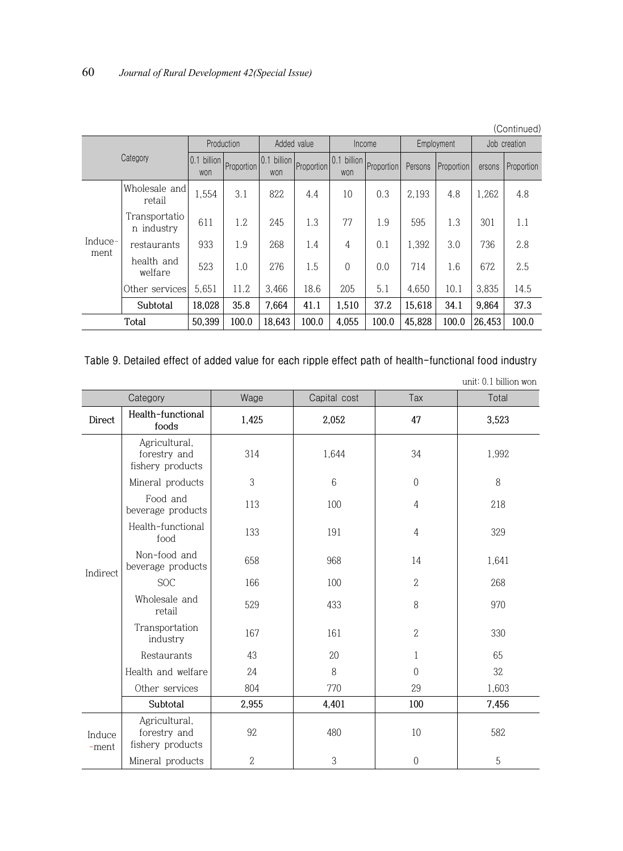|          | (Continued)                 |                       |            |                    |             |                    |            |            |            |              |            |  |
|----------|-----------------------------|-----------------------|------------|--------------------|-------------|--------------------|------------|------------|------------|--------------|------------|--|
|          |                             |                       | Production |                    | Added value | Income             |            | Employment |            | Job creation |            |  |
| Category |                             | billion<br>0.1<br>won | Proportion | 0.1 billion<br>won | Proportion  | 0.1 billion<br>won | Proportion | Persons    | Proportion | ersons       | Proportion |  |
|          | Wholesale and<br>retail     | 1,554                 | 3.1        | 822                | 4.4         | 10                 | 0.3        | 2.193      | 4.8        | 1,262        | 4.8        |  |
|          | Transportatio<br>n industry | 611                   | 1.2        | 2.45               | 1.3         | 77                 | 1.9        | 595        | 1.3        | 301          | 1.1        |  |
| Induce-  | restaurants                 | 933                   | 1.9        | 268                | 1.4         | 4                  | 0.1        | 1.392      | 3.0        | 736          | 2.8        |  |
| ment     | health and<br>welfare       | 523                   | 1.0        | 276                | 1.5         | $\Omega$           | 0.0        | 714        | 1.6        | 672          | 2.5        |  |
|          | Other services              | 5.651                 | 11.2       | 3.466              | 18.6        | 205                | 5.1        | 4.650      | 10.1       | 3.835        | 14.5       |  |
|          | Subtotal                    | 18.028                | 35.8       | 7.664              | 41.1        | 1.510              | 37.2       | 15.618     | 34.1       | 9.864        | 37.3       |  |
|          | Total                       | 50.399                | 100.0      | 18.643             | 100.0       | 4.055              | 100.0      | 45.828     | 100.0      | 26.453       | 100.0      |  |

**Table 9. Detailed effect of added value for each ripple effect path of health-functional food industry**

|                 | Category                                          | Wage           | Capital cost | Tax            | Total |  |
|-----------------|---------------------------------------------------|----------------|--------------|----------------|-------|--|
| Direct          | Health-functional<br>foods                        | 1,425          | 2,052        | 47             | 3,523 |  |
| Indirect        | Agricultural,<br>forestry and<br>fishery products | 314            | 1,644        | 34             | 1,992 |  |
|                 | Mineral products                                  | 3              | 6            | $\overline{0}$ | 8     |  |
|                 | Food and<br>beverage products                     | 113            | 100          | $\overline{4}$ | 218   |  |
|                 | Health-functional<br>food                         | 133            | 191          | 4              | 329   |  |
|                 | Non-food and<br>beverage products                 | 658            | 968          | 14             | 1,641 |  |
|                 | <b>SOC</b>                                        | 166            | 100          | $\mathbf{2}$   | 268   |  |
|                 | Wholesale and<br>retail                           | 529            | 433          | 8              | 970   |  |
|                 | Transportation<br>industry                        | 167            | 161          | $\mathbf{2}$   | 330   |  |
|                 | Restaurants                                       | 43             | 20           | $\mathbf{1}$   | 65    |  |
|                 | Health and welfare                                | 24             | 8            | $\theta$       | 32    |  |
|                 | Other services                                    | 804            | 770          | 29             | 1,603 |  |
|                 | Subtotal                                          | 2,955          | 4,401        | 100            | 7,456 |  |
| Induce<br>-ment | Agricultural,<br>forestry and<br>fishery products | 92             | 480          | 10             | 582   |  |
|                 | Mineral products                                  | $\overline{2}$ | 3            | $\overline{0}$ | 5     |  |

unit: 0.1 billion won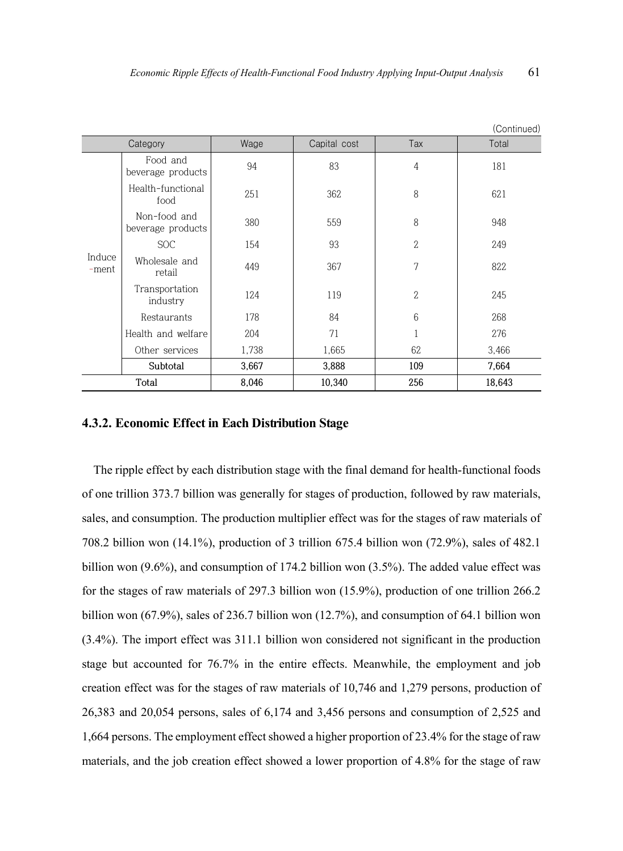|                 |                                   |       |              |                | (Continued) |
|-----------------|-----------------------------------|-------|--------------|----------------|-------------|
|                 | Category                          | Wage  | Capital cost | Tax            | Total       |
|                 | Food and<br>beverage products     | 94    | 83           | $\overline{4}$ | 181         |
|                 | Health-functional<br>food         | 251   | 362          | 8              | 621         |
|                 | Non-food and<br>beverage products | 380   | 559          | 8              | 948         |
|                 | <b>SOC</b>                        | 154   | 93           | $\mathbf{2}$   | 249         |
| Induce<br>-ment | Wholesale and<br>retail           | 449   | 367          | 7              | 822         |
|                 | Transportation<br>industry        | 124   | 119          | $\mathbf{2}$   | 245         |
|                 | Restaurants                       | 178   | 84           | 6              | 268         |
|                 | Health and welfare                | 204   | 71           |                | 276         |
|                 | Other services                    | 1,738 | 1,665        | 62             | 3,466       |
|                 | Subtotal                          | 3,667 | 3,888        | 109            | 7,664       |
|                 | Total                             | 8,046 | 10,340       | 256            | 18,643      |

#### **4.3.2. Economic Effect in Each Distribution Stage**

The ripple effect by each distribution stage with the final demand for health-functional foods of one trillion 373.7 billion was generally for stages of production, followed by raw materials, sales, and consumption. The production multiplier effect was for the stages of raw materials of 708.2 billion won (14.1%), production of 3 trillion 675.4 billion won (72.9%), sales of 482.1 billion won (9.6%), and consumption of 174.2 billion won (3.5%). The added value effect was for the stages of raw materials of 297.3 billion won (15.9%), production of one trillion 266.2 billion won (67.9%), sales of 236.7 billion won (12.7%), and consumption of 64.1 billion won (3.4%). The import effect was 311.1 billion won considered not significant in the production stage but accounted for 76.7% in the entire effects. Meanwhile, the employment and job creation effect was for the stages of raw materials of 10,746 and 1,279 persons, production of 26,383 and 20,054 persons, sales of 6,174 and 3,456 persons and consumption of 2,525 and 1,664 persons. The employment effect showed a higher proportion of 23.4% for the stage of raw materials, and the job creation effect showed a lower proportion of 4.8% for the stage of raw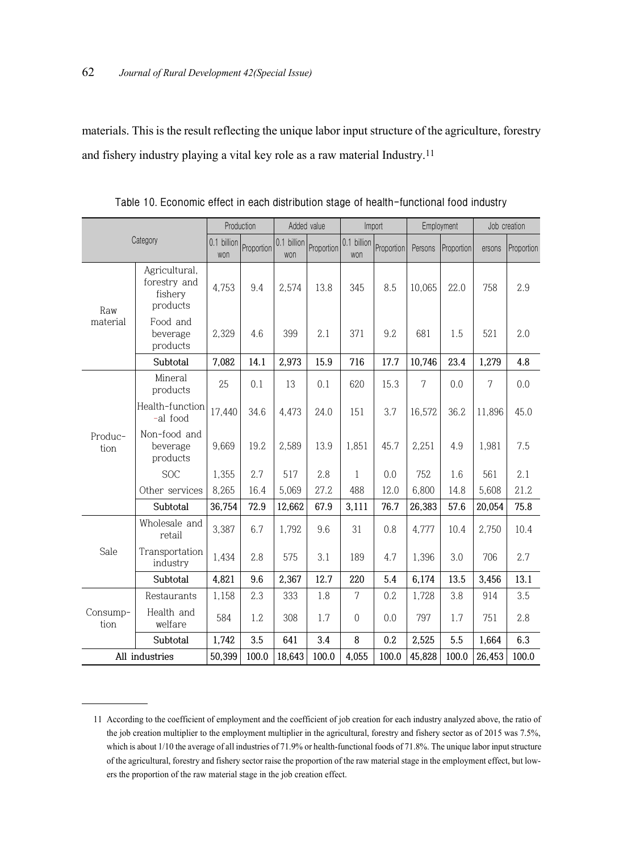materials. This is the result reflecting the unique labor input structure of the agriculture, forestry and fishery industry playing a vital key role as a raw material Industry. 11

|                  |                                                      |            | Production         | Added value |                    | Import     |         | Employment |        | Job creation   |      |
|------------------|------------------------------------------------------|------------|--------------------|-------------|--------------------|------------|---------|------------|--------|----------------|------|
| Category         | 0.1 billion<br>won                                   | Proportion | 0.1 billion<br>won | Proportion  | 0.1 billion<br>won | Proportion | Persons | Proportion | ersons | Proportion     |      |
| Raw              | Agricultural,<br>forestry and<br>fishery<br>products | 4,753      | 9.4                | 2,574       | 13.8               | 345        | 8.5     | 10,065     | 22.0   | 758            | 2.9  |
| material         | Food and<br>beverage<br>products                     | 2,329      | 4.6                | 399         | 2.1                | 371        | 9.2     | 681        | 1.5    | 521            | 2.0  |
|                  | Subtotal                                             | 7,082      | 14.1               | 2,973       | 15.9               | 716        | 17.7    | 10,746     | 23.4   | 1,279          | 4.8  |
|                  | Mineral<br>products                                  | 25         | 0.1                | 13          | 0.1                | 620        | 15.3    | 7          | 0.0    | $\overline{7}$ | 0.0  |
|                  | Health-function<br>-al food                          | 17,440     | 34.6               | 4,473       | 24.0               | 151        | 3.7     | 16,572     | 36.2   | 11,896         | 45.0 |
| Produc-<br>tion  | Non-food and<br>beverage<br>products                 | 9,669      | 19.2               | 2,589       | 13.9               | 1,851      | 45.7    | 2,251      | 4.9    | 1,981          | 7.5  |
|                  | <b>SOC</b>                                           | 1,355      | 2.7                | 517         | 2.8                | 1          | 0.0     | 752        | 1.6    | 561            | 2.1  |
|                  | Other services                                       | 8,265      | 16.4               | 5,069       | 27.2               | 488        | 12.0    | 6,800      | 14.8   | 5,608          | 21.2 |
|                  | Subtotal                                             | 36,754     | 72.9               | 12,662      | 67.9               | 3,111      | 76.7    | 26,383     | 57.6   | 20,054         | 75.8 |
|                  | Wholesale and<br>retail                              | 3,387      | 6.7                | 1,792       | 9.6                | 31         | 0.8     | 4,777      | 10.4   | 2,750          | 10.4 |
| Sale             | Transportation<br>industry                           | 1,434      | 2.8                | 575         | 3.1                | 189        | 4.7     | 1,396      | 3.0    | 706            | 2.7  |
|                  | Subtotal                                             | 4,821      | 9.6                | 2,367       | 12.7               | 220        | 5.4     | 6,174      | 13.5   | 3,456          | 13.1 |
|                  | Restaurants                                          | 1,158      | 2.3                | 333         | 1.8                | 7          | 0.2     | 1,728      | 3.8    | 914            | 3.5  |
| Consump-<br>tion | Health and<br>welfare                                | 584        | 1.2.               | 308         | 1.7                | $\theta$   | 0.0     | 797        | 1.7    | 751            | 2.8  |
|                  | Subtotal                                             | 1,742      | 3.5                | 641         | 3.4                | 8          | 0.2     | 2,525      | 5.5    | 1,664          | 6.3  |
| All industries   | 50,399                                               | 100.0      | 18,643             | 100.0       | 4,055              | 100.0      | 45,828  | 100.0      | 26,453 | 100.0          |      |

**Table 10. Economic effect in each distribution stage of health-functional food industry**

<sup>11</sup> According to the coefficient of employment and the coefficient of job creation for each industry analyzed above, the ratio of the job creation multiplier to the employment multiplier in the agricultural, forestry and fishery sector as of 2015 was 7.5%, which is about 1/10 the average of all industries of 71.9% or health-functional foods of 71.8%. The unique labor input structure of the agricultural, forestry and fishery sector raise the proportion of the raw material stage in the employment effect, but lowers the proportion of the raw material stage in the job creation effect.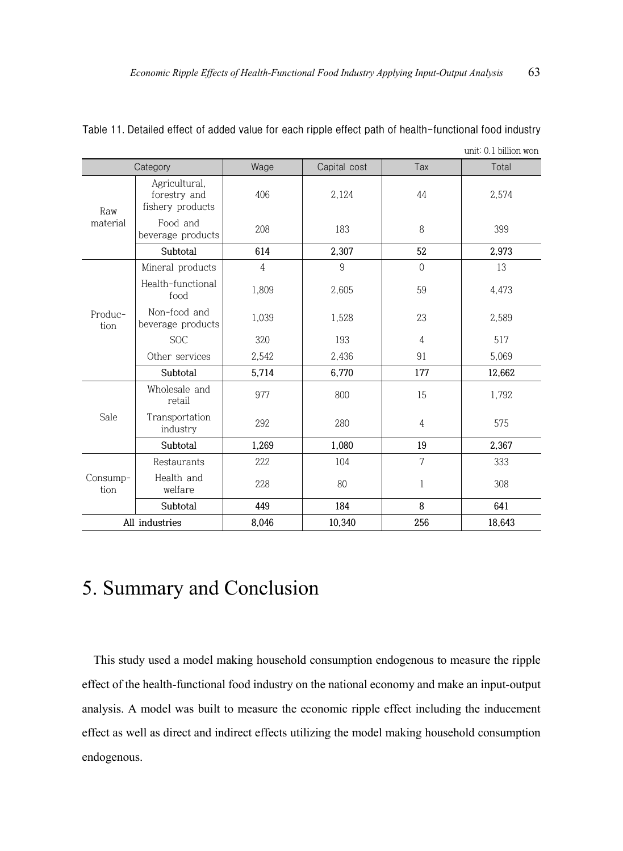|                  |                                                   |                |              |                | unit: 0.1 billion won |
|------------------|---------------------------------------------------|----------------|--------------|----------------|-----------------------|
|                  | Category                                          | Wage           | Capital cost | Tax            | Total                 |
| Raw              | Agricultural,<br>forestry and<br>fishery products | 406            | 2,124        | 44             | 2,574                 |
| material         | Food and<br>beverage products                     | 208            | 183          | 8              | 399                   |
|                  | Subtotal                                          | 614            | 2,307        | 52             | 2,973                 |
|                  | Mineral products                                  | $\overline{4}$ | 9            | $\Omega$       | 13                    |
|                  | Health-functional<br>food                         | 1.809          | 2,605        | 59             | 4,473                 |
| Produc-<br>tion  | Non-food and<br>beverage products                 | 1,039          | 1,528        | 23             | 2,589                 |
|                  | <b>SOC</b>                                        | 320            | 193          | $\overline{4}$ | 517                   |
|                  | Other services                                    | 2,542          | 2,436        | 91             | 5,069                 |
|                  | Subtotal                                          | 5,714          | 6,770        | 177            | 12,662                |
|                  | Wholesale and<br>retail                           | 977            | 800          | 15             | 1,792                 |
| Sale             | Transportation<br>industry                        | 292            | 280          | $\overline{4}$ | 575                   |
|                  | Subtotal                                          | 1,269          | 1,080        | 19             | 2,367                 |
|                  | Restaurants                                       | 222            | 104          | 7              | 333                   |
| Consump-<br>tion | Health and<br>welfare                             | 228            | 80           | $\mathbf{1}$   | 308                   |
|                  | Subtotal                                          | 449            | 184          | 8              | 641                   |
|                  | All industries                                    | 8,046          | 10,340       | 256            | 18,643                |

| Table 11. Detailed effect of added value for each ripple effect path of health-functional food industry |  |  |  |  |  |  |
|---------------------------------------------------------------------------------------------------------|--|--|--|--|--|--|
| $\ldots$ $\downarrow$ $\wedge$ 1 $\ldots$ $\ldots$                                                      |  |  |  |  |  |  |

# 5. Summary and Conclusion

This study used a model making household consumption endogenous to measure the ripple effect of the health-functional food industry on the national economy and make an input-output analysis. A model was built to measure the economic ripple effect including the inducement effect as well as direct and indirect effects utilizing the model making household consumption endogenous.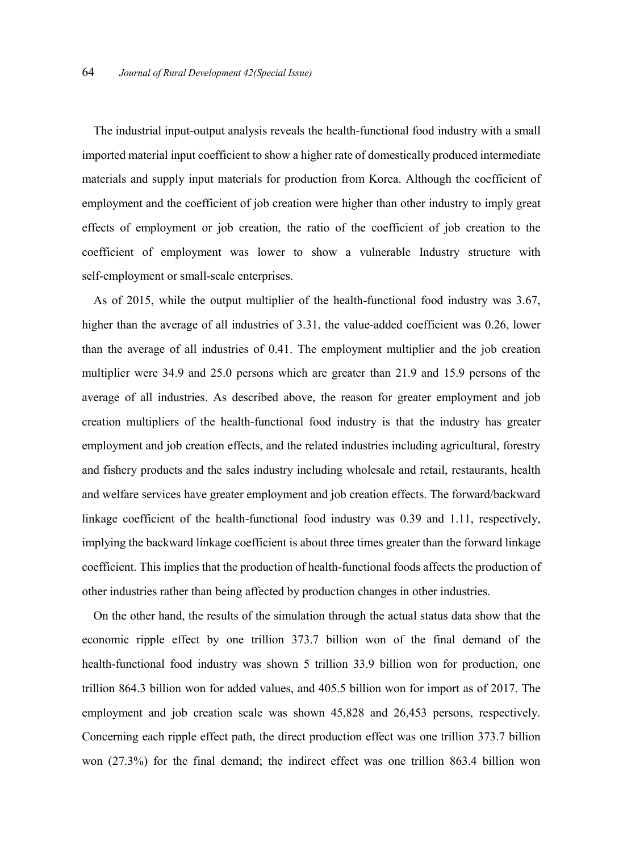The industrial input-output analysis reveals the health-functional food industry with a small imported material input coefficient to show a higher rate of domestically produced intermediate materials and supply input materials for production from Korea. Although the coefficient of employment and the coefficient of job creation were higher than other industry to imply great effects of employment or job creation, the ratio of the coefficient of job creation to the coefficient of employment was lower to show a vulnerable Industry structure with self-employment or small-scale enterprises.

As of 2015, while the output multiplier of the health-functional food industry was 3.67, higher than the average of all industries of 3.31, the value-added coefficient was 0.26, lower than the average of all industries of 0.41. The employment multiplier and the job creation multiplier were 34.9 and 25.0 persons which are greater than 21.9 and 15.9 persons of the average of all industries. As described above, the reason for greater employment and job creation multipliers of the health-functional food industry is that the industry has greater employment and job creation effects, and the related industries including agricultural, forestry and fishery products and the sales industry including wholesale and retail, restaurants, health and welfare services have greater employment and job creation effects. The forward/backward linkage coefficient of the health-functional food industry was 0.39 and 1.11, respectively, implying the backward linkage coefficient is about three times greater than the forward linkage coefficient. This implies that the production of health-functional foods affects the production of other industries rather than being affected by production changes in other industries.

On the other hand, the results of the simulation through the actual status data show that the economic ripple effect by one trillion 373.7 billion won of the final demand of the health-functional food industry was shown 5 trillion 33.9 billion won for production, one trillion 864.3 billion won for added values, and 405.5 billion won for import as of 2017. The employment and job creation scale was shown 45,828 and 26,453 persons, respectively. Concerning each ripple effect path, the direct production effect was one trillion 373.7 billion won (27.3%) for the final demand; the indirect effect was one trillion 863.4 billion won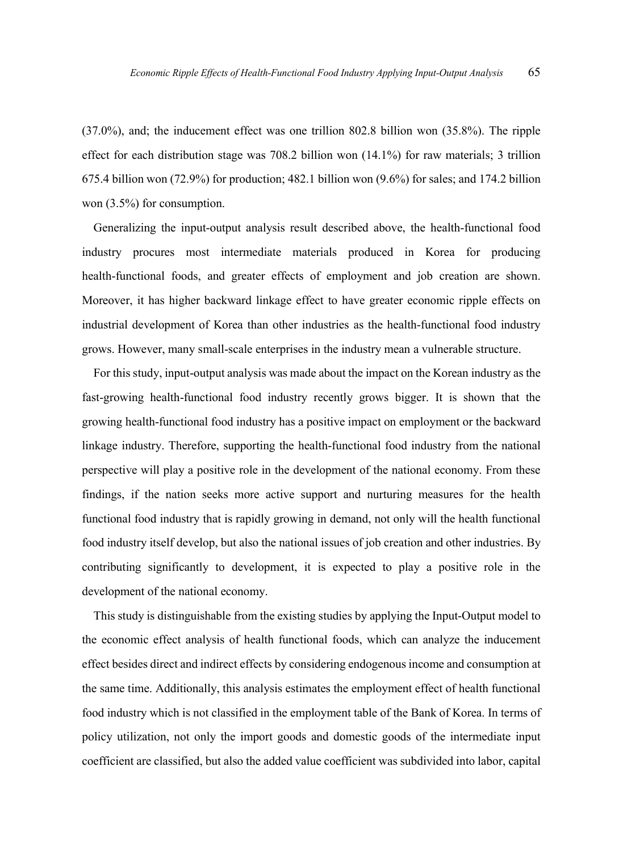(37.0%), and; the inducement effect was one trillion 802.8 billion won (35.8%). The ripple effect for each distribution stage was 708.2 billion won (14.1%) for raw materials; 3 trillion 675.4 billion won (72.9%) for production; 482.1 billion won (9.6%) for sales; and 174.2 billion won (3.5%) for consumption.

Generalizing the input-output analysis result described above, the health-functional food industry procures most intermediate materials produced in Korea for producing health-functional foods, and greater effects of employment and job creation are shown. Moreover, it has higher backward linkage effect to have greater economic ripple effects on industrial development of Korea than other industries as the health-functional food industry grows. However, many small-scale enterprises in the industry mean a vulnerable structure.

For this study, input-output analysis was made about the impact on the Korean industry as the fast-growing health-functional food industry recently grows bigger. It is shown that the growing health-functional food industry has a positive impact on employment or the backward linkage industry. Therefore, supporting the health-functional food industry from the national perspective will play a positive role in the development of the national economy. From these findings, if the nation seeks more active support and nurturing measures for the health functional food industry that is rapidly growing in demand, not only will the health functional food industry itself develop, but also the national issues of job creation and other industries. By contributing significantly to development, it is expected to play a positive role in the development of the national economy.

This study is distinguishable from the existing studies by applying the Input-Output model to the economic effect analysis of health functional foods, which can analyze the inducement effect besides direct and indirect effects by considering endogenous income and consumption at the same time. Additionally, this analysis estimates the employment effect of health functional food industry which is not classified in the employment table of the Bank of Korea. In terms of policy utilization, not only the import goods and domestic goods of the intermediate input coefficient are classified, but also the added value coefficient was subdivided into labor, capital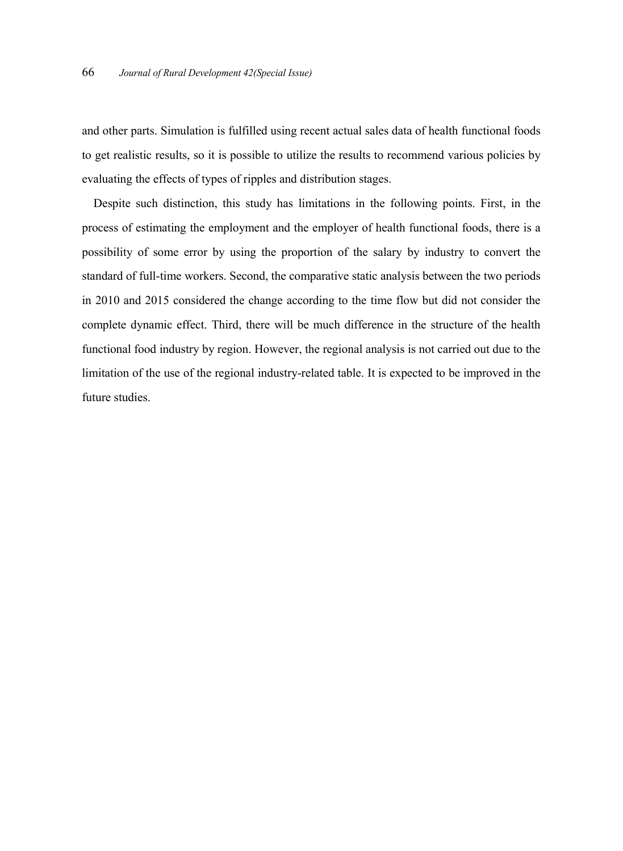and other parts. Simulation is fulfilled using recent actual sales data of health functional foods to get realistic results, so it is possible to utilize the results to recommend various policies by evaluating the effects of types of ripples and distribution stages.

Despite such distinction, this study has limitations in the following points. First, in the process of estimating the employment and the employer of health functional foods, there is a possibility of some error by using the proportion of the salary by industry to convert the standard of full-time workers. Second, the comparative static analysis between the two periods in 2010 and 2015 considered the change according to the time flow but did not consider the complete dynamic effect. Third, there will be much difference in the structure of the health functional food industry by region. However, the regional analysis is not carried out due to the limitation of the use of the regional industry-related table. It is expected to be improved in the future studies.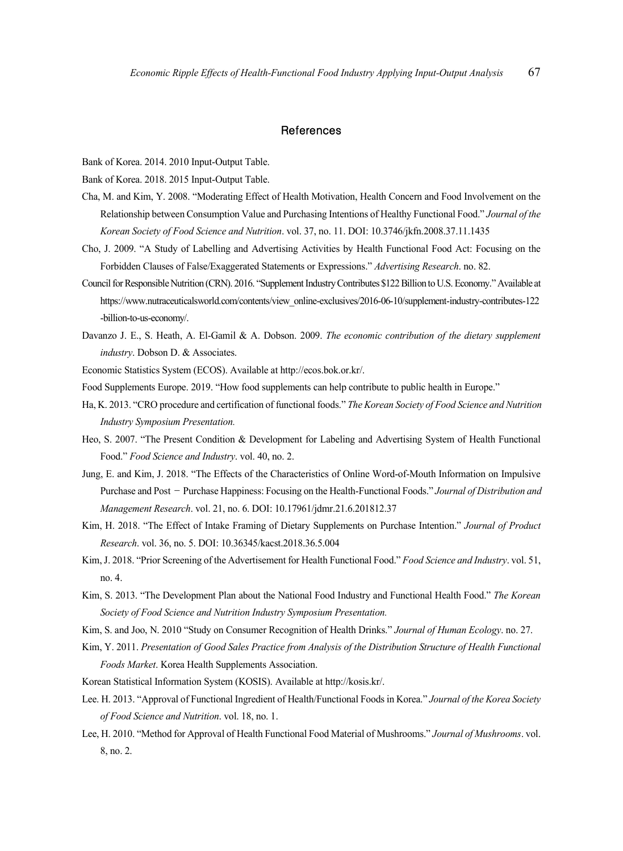#### **References**

Bank of Korea. 2014. 2010 Input-Output Table.

Bank of Korea. 2018. 2015 Input-Output Table.

- Cha, M. and Kim, Y. 2008. "Moderating Effect of Health Motivation, Health Concern and Food Involvement on the Relationship between Consumption Value and Purchasing Intentions of Healthy Functional Food." *Journal of the Korean Society of Food Science and Nutrition*. vol. 37, no. 11. DOI: 10.3746/jkfn.2008.37.11.1435
- Cho, J. 2009. "A Study of Labelling and Advertising Activities by Health Functional Food Act: Focusing on the Forbidden Clauses of False/Exaggerated Statements or Expressions." *Advertising Research*. no. 82.
- Council for Responsible Nutrition (CRN). 2016. "Supplement Industry Contributes \$122 Billion to U.S. Economy." Available at https://www.nutraceuticalsworld.com/contents/view\_online-exclusives/2016-06-10/supplement-industry-contributes-122 -billion-to-us-economy/.
- Davanzo J. E., S. Heath, A. El-Gamil & A. Dobson. 2009. *The economic contribution of the dietary supplement industry*. Dobson D. & Associates.
- Economic Statistics System (ECOS). Available at http://ecos.bok.or.kr/.
- Food Supplements Europe. 2019. "How food supplements can help contribute to public health in Europe."
- Ha, K. 2013. "CRO procedure and certification of functional foods." *The Korean Society of Food Science and Nutrition Industry Symposium Presentation.*
- Heo, S. 2007. "The Present Condition & Development for Labeling and Advertising System of Health Functional Food." *Food Science and Industry*. vol. 40, no. 2.
- Jung, E. and Kim, J. 2018. "The Effects of the Characteristics of Online Word-of-Mouth Information on Impulsive Purchase and Post –Purchase Happiness: Focusing on the Health-Functional Foods." *Journal of Distribution and Management Research*. vol. 21, no. 6. DOI: 10.17961/jdmr.21.6.201812.37
- Kim, H. 2018. "The Effect of Intake Framing of Dietary Supplements on Purchase Intention." *Journal of Product Research*. vol. 36, no. 5. DOI: 10.36345/kacst.2018.36.5.004
- Kim,J. 2018. "Prior Screening of the Advertisement for Health Functional Food." *Food Science and Industry*. vol. 51, no. 4.
- Kim, S. 2013. "The Development Plan about the National Food Industry and Functional Health Food." *The Korean Society of Food Science and Nutrition Industry Symposium Presentation.*
- Kim, S. and Joo, N. 2010 "Study on Consumer Recognition of Health Drinks." *Journal of Human Ecology*. no. 27.
- Kim, Y. 2011. *Presentation of Good Sales Practice from Analysis of the Distribution Structure of Health Functional Foods Market*. Korea Health Supplements Association.
- Korean Statistical Information System (KOSIS). Available at http://kosis.kr/.
- Lee. H. 2013. "Approval of Functional Ingredient of Health/Functional Foods in Korea." *Journal of the Korea Society of Food Science and Nutrition*. vol. 18, no. 1.
- Lee, H. 2010. "Method for Approval of Health Functional Food Material of Mushrooms." *Journal of Mushrooms*. vol. 8, no. 2.